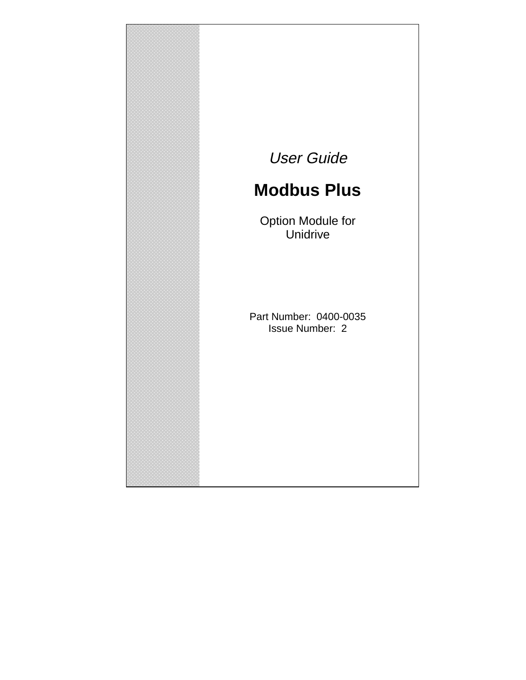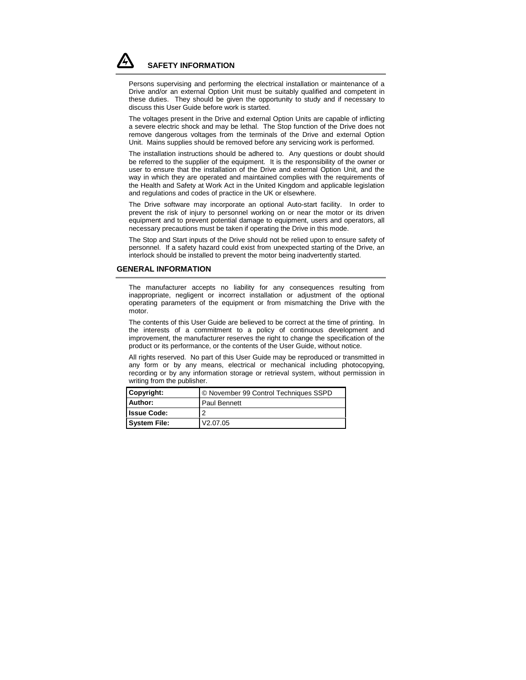# **SAFETY INFORMATION**

Persons supervising and performing the electrical installation or maintenance of a Drive and/or an external Option Unit must be suitably qualified and competent in these duties. They should be given the opportunity to study and if necessary to discuss this User Guide before work is started.

The voltages present in the Drive and external Option Units are capable of inflicting a severe electric shock and may be lethal. The Stop function of the Drive does not remove dangerous voltages from the terminals of the Drive and external Option Unit. Mains supplies should be removed before any servicing work is performed.

The installation instructions should be adhered to. Any questions or doubt should be referred to the supplier of the equipment. It is the responsibility of the owner or user to ensure that the installation of the Drive and external Option Unit, and the way in which they are operated and maintained complies with the requirements of the Health and Safety at Work Act in the United Kingdom and applicable legislation and regulations and codes of practice in the UK or elsewhere.

The Drive software may incorporate an optional Auto-start facility. In order to prevent the risk of injury to personnel working on or near the motor or its driven equipment and to prevent potential damage to equipment, users and operators, all necessary precautions must be taken if operating the Drive in this mode.

The Stop and Start inputs of the Drive should not be relied upon to ensure safety of personnel. If a safety hazard could exist from unexpected starting of the Drive, an interlock should be installed to prevent the motor being inadvertently started.

#### **GENERAL INFORMATION**

The manufacturer accepts no liability for any consequences resulting from inappropriate, negligent or incorrect installation or adjustment of the optional operating parameters of the equipment or from mismatching the Drive with the motor.

The contents of this User Guide are believed to be correct at the time of printing. In the interests of a commitment to a policy of continuous development and improvement, the manufacturer reserves the right to change the specification of the product or its performance, or the contents of the User Guide, without notice.

All rights reserved. No part of this User Guide may be reproduced or transmitted in any form or by any means, electrical or mechanical including photocopying, recording or by any information storage or retrieval system, without permission in writing from the publisher.

| Copyright:         | © November 99 Control Techniques SSPD |
|--------------------|---------------------------------------|
| <b>Author:</b>     | <b>Paul Bennett</b>                   |
| <b>Issue Code:</b> |                                       |
| System File:       | V2.07.05                              |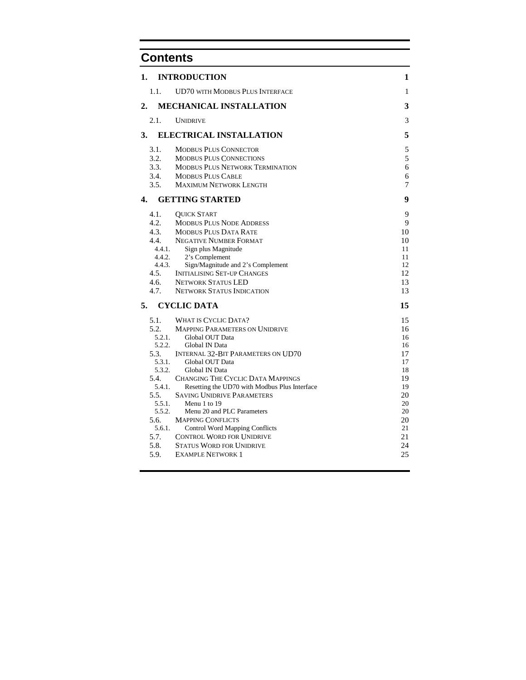# **Contents**

| 1.                                                                                                                                                   | <b>INTRODUCTION</b>                                                                                                                                                                                                                                                                                                                                                                                                                                                                                                                                 | 1                                                                                                  |
|------------------------------------------------------------------------------------------------------------------------------------------------------|-----------------------------------------------------------------------------------------------------------------------------------------------------------------------------------------------------------------------------------------------------------------------------------------------------------------------------------------------------------------------------------------------------------------------------------------------------------------------------------------------------------------------------------------------------|----------------------------------------------------------------------------------------------------|
| 1.1.                                                                                                                                                 | <b>UD70 WITH MODBUS PLUS INTERFACE</b>                                                                                                                                                                                                                                                                                                                                                                                                                                                                                                              | 1                                                                                                  |
| 2.                                                                                                                                                   | <b>MECHANICAL INSTALLATION</b>                                                                                                                                                                                                                                                                                                                                                                                                                                                                                                                      | 3                                                                                                  |
| 2.1.                                                                                                                                                 | <b>UNIDRIVE</b>                                                                                                                                                                                                                                                                                                                                                                                                                                                                                                                                     | 3                                                                                                  |
| 3.                                                                                                                                                   | <b>ELECTRICAL INSTALLATION</b>                                                                                                                                                                                                                                                                                                                                                                                                                                                                                                                      | 5                                                                                                  |
| 3.1.<br>3.2.<br>3.3.<br>3.4.<br>3.5.                                                                                                                 | <b>MODBUS PLUS CONNECTOR</b><br><b>MODBUS PLUS CONNECTIONS</b><br><b>MODBUS PLUS NETWORK TERMINATION</b><br><b>MODBUS PLUS CABLE</b><br><b>MAXIMUM NETWORK LENGTH</b>                                                                                                                                                                                                                                                                                                                                                                               | 5<br>5<br>6<br>6<br>7                                                                              |
| 4.                                                                                                                                                   | <b>GETTING STARTED</b>                                                                                                                                                                                                                                                                                                                                                                                                                                                                                                                              | 9                                                                                                  |
| 4.1.<br>4.2.<br>4.3.<br>4.4.<br>4.4.1.<br>4.4.2.<br>4.4.3.<br>4.5.<br>4.6.<br>4.7.<br>5.                                                             | <b>QUICK START</b><br><b>MODBUS PLUS NODE ADDRESS</b><br><b>MODBUS PLUS DATA RATE</b><br><b>NEGATIVE NUMBER FORMAT</b><br>Sign plus Magnitude<br>2's Complement<br>Sign/Magnitude and 2's Complement<br><b>INITIALISING SET-UP CHANGES</b><br><b>NETWORK STATUS LED</b><br><b>NETWORK STATUS INDICATION</b><br><b>CYCLIC DATA</b>                                                                                                                                                                                                                   | 9<br>9<br>10<br>10<br>11<br>11<br>12<br>12<br>13<br>13<br>15                                       |
| 5.1.<br>5.2.<br>5.2.1.<br>5.2.2.<br>5.3.<br>5.3.1.<br>5.3.2.<br>5.4.<br>5.4.1.<br>5.5.<br>5.5.1.<br>5.5.2.<br>5.6.<br>5.6.1.<br>5.7.<br>5.8.<br>5.9. | <b>WHAT IS CYCLIC DATA?</b><br><b>MAPPING PARAMETERS ON UNIDRIVE</b><br>Global OUT Data<br>Global IN Data<br><b>INTERNAL 32-BIT PARAMETERS ON UD70</b><br>Global OUT Data<br>Global IN Data<br><b>CHANGING THE CYCLIC DATA MAPPINGS</b><br>Resetting the UD70 with Modbus Plus Interface<br><b>SAVING UNIDRIVE PARAMETERS</b><br>Menu 1 to 19<br>Menu 20 and PLC Parameters<br><b>MAPPING CONFLICTS</b><br><b>Control Word Mapping Conflicts</b><br><b>CONTROL WORD FOR UNIDRIVE</b><br><b>STATUS WORD FOR UNIDRIVE</b><br><b>EXAMPLE NETWORK 1</b> | 15<br>16<br>16<br>16<br>17<br>17<br>18<br>19<br>19<br>20<br>20<br>20<br>20<br>21<br>21<br>24<br>25 |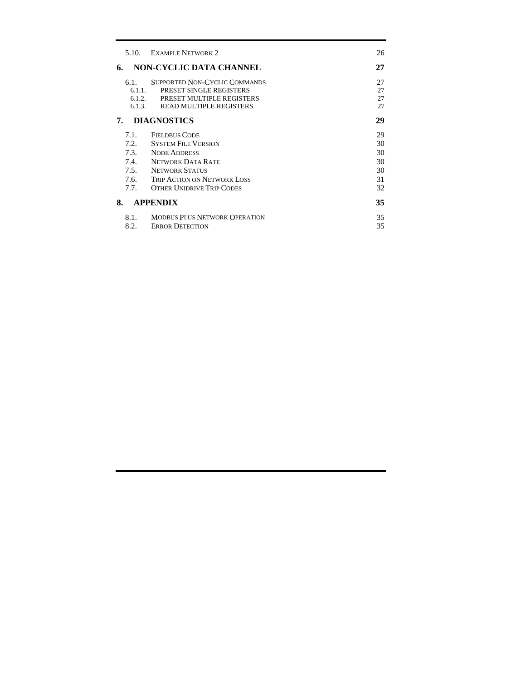| 5.10.                              | EXAMPLE NETWORK 2                                                                                                | 26                   |
|------------------------------------|------------------------------------------------------------------------------------------------------------------|----------------------|
| 6.                                 | <b>NON-CYCLIC DATA CHANNEL</b>                                                                                   | 27                   |
| 6.1.<br>6.1.1.<br>6.1.2.<br>6.1.3. | SUPPORTED NON-CYCLIC COMMANDS<br>PRESET SINGLE REGISTERS<br>PRESET MULTIPLE REGISTERS<br>READ MULTIPLE REGISTERS | 27<br>27<br>27<br>27 |
| 7.                                 | <b>DIAGNOSTICS</b>                                                                                               | 29                   |
| 7.1                                | <b>FIELDBUS CODE</b>                                                                                             | 29                   |
| 7.2.                               | <b>SYSTEM FILE VERSION</b>                                                                                       | 30                   |
| 7.3.                               | <b>NODE ADDRESS</b>                                                                                              | 30                   |
| 7.4                                | NETWORK DATA RATE                                                                                                | 30                   |
| 7.5                                | <b>NETWORK STATUS</b>                                                                                            | 30                   |
| 7.6.                               | <b>TRIP ACTION ON NETWORK LOSS</b>                                                                               | 31                   |
| 7.7.                               | <b>OTHER UNIDRIVE TRIP CODES</b>                                                                                 | 32                   |
| 8.                                 | <b>APPENDIX</b>                                                                                                  | 35                   |
| 8.1.                               | <b>MODBUS PLUS NETWORK OPERATION</b>                                                                             | 35                   |
| 8.2.                               | <b>ERROR DETECTION</b>                                                                                           | 35                   |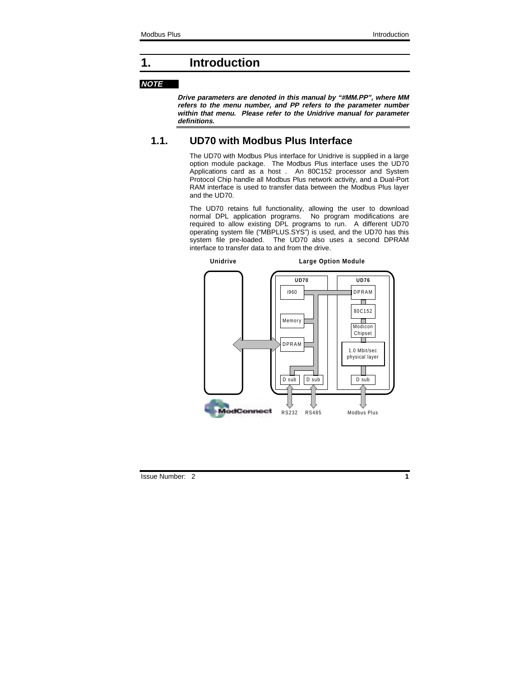# **1. Introduction**

#### **NOTE**

**Drive parameters are denoted in this manual by "#MM.PP", where MM refers to the menu number, and PP refers to the parameter number within that menu. Please refer to the Unidrive manual for parameter definitions.**

# **1.1. UD70 with Modbus Plus Interface**

The UD70 with Modbus Plus interface for Unidrive is supplied in a large option module package. The Modbus Plus interface uses the UD70 Applications card as a host . An 80C152 processor and System Protocol Chip handle all Modbus Plus network activity, and a Dual-Port RAM interface is used to transfer data between the Modbus Plus layer and the UD70.

The UD70 retains full functionality, allowing the user to download normal DPL application programs. No program modifications are required to allow existing DPL programs to run. A different UD70 operating system file ("MBPLUS.SYS") is used, and the UD70 has this system file pre-loaded. The UD70 also uses a second DPRAM interface to transfer data to and from the drive.

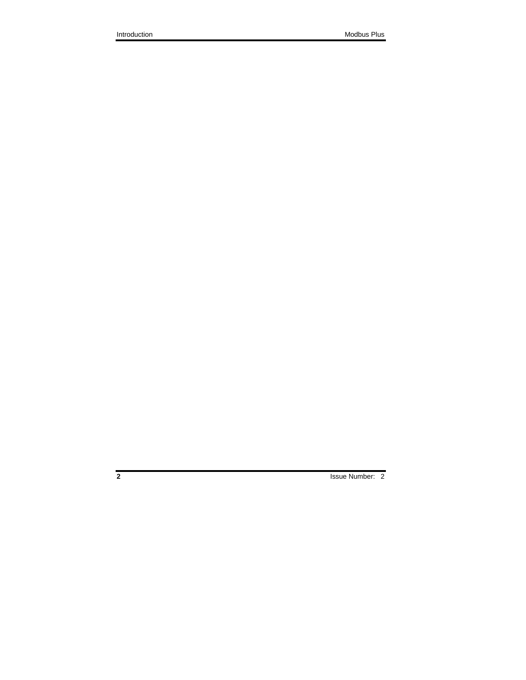**2** Issue Number: 2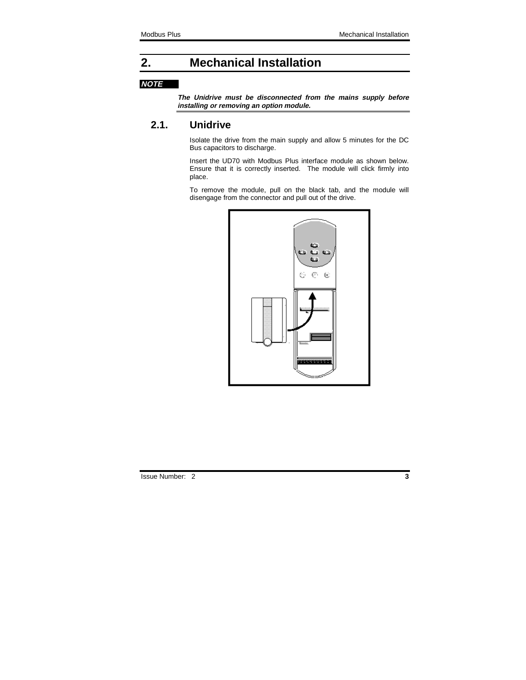# **2. Mechanical Installation**

# **NOTE**

**The Unidrive must be disconnected from the mains supply before installing or removing an option module.**

# **2.1. Unidrive**

Isolate the drive from the main supply and allow 5 minutes for the DC Bus capacitors to discharge.

Insert the UD70 with Modbus Plus interface module as shown below. Ensure that it is correctly inserted. The module will click firmly into place.

To remove the module, pull on the black tab, and the module will disengage from the connector and pull out of the drive.

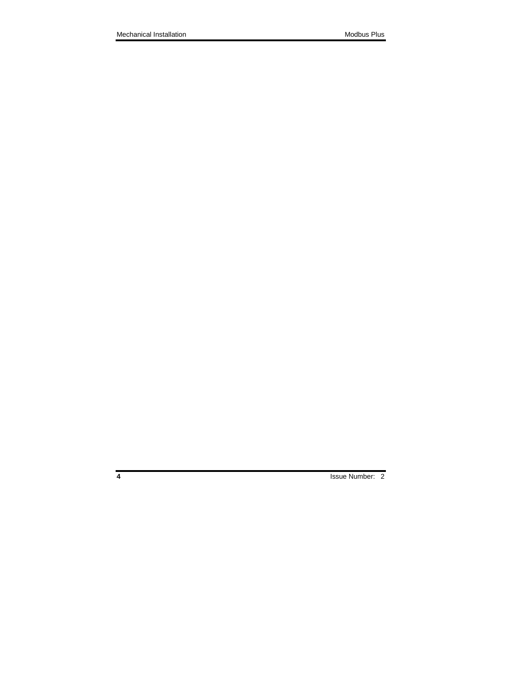**4** Issue Number: 2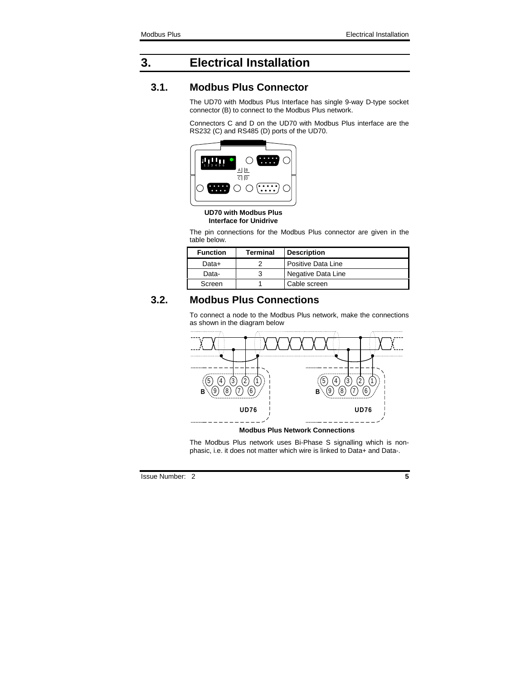# **3. Electrical Installation**

# **3.1. Modbus Plus Connector**

The UD70 with Modbus Plus Interface has single 9-way D-type socket connector (B) to connect to the Modbus Plus network.

Connectors C and D on the UD70 with Modbus Plus interface are the RS232 (C) and RS485 (D) ports of the UD70.



#### **UD70 with Modbus Plus Interface for Unidrive**

The pin connections for the Modbus Plus connector are given in the table below.

| <b>Function</b> | <b>Terminal</b> | <b>Description</b> |
|-----------------|-----------------|--------------------|
| Data+           |                 | Positive Data Line |
| Data-           |                 | Negative Data Line |
| Screen          |                 | Cable screen       |

# **3.2. Modbus Plus Connections**

To connect a node to the Modbus Plus network, make the connections as shown in the diagram below



The Modbus Plus network uses Bi-Phase S signalling which is nonphasic, i.e. it does not matter which wire is linked to Data+ and Data-.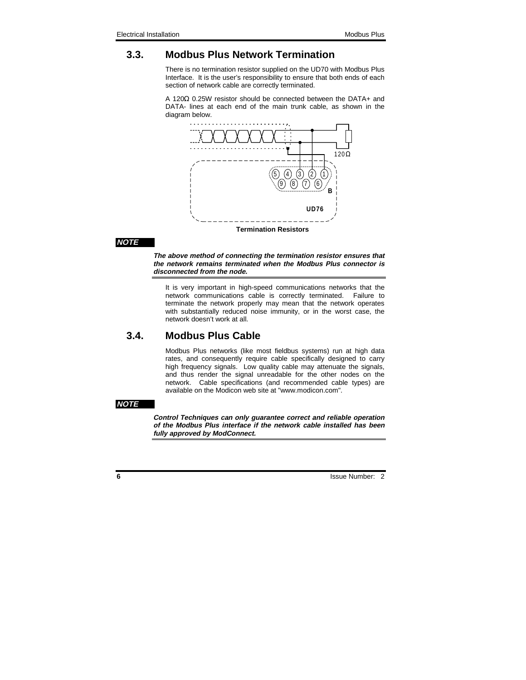## **3.3. Modbus Plus Network Termination**

There is no termination resistor supplied on the UD70 with Modbus Plus Interface. It is the user's responsibility to ensure that both ends of each section of network cable are correctly terminated.

A 120Ω 0.25W resistor should be connected between the DATA+ and DATA- lines at each end of the main trunk cable, as shown in the diagram below.



#### **NOTE**

**The above method of connecting the termination resistor ensures that the network remains terminated when the Modbus Plus connector is disconnected from the node.**

It is very important in high-speed communications networks that the network communications cable is correctly terminated. Failure to terminate the network properly may mean that the network operates with substantially reduced noise immunity, or in the worst case, the network doesn't work at all.

## **3.4. Modbus Plus Cable**

Modbus Plus networks (like most fieldbus systems) run at high data rates, and consequently require cable specifically designed to carry high frequency signals. Low quality cable may attenuate the signals, and thus render the signal unreadable for the other nodes on the network. Cable specifications (and recommended cable types) are available on the Modicon web site at "www.modicon.com".

### **NOTE**

**Control Techniques can only guarantee correct and reliable operation of the Modbus Plus interface if the network cable installed has been fully approved by ModConnect.**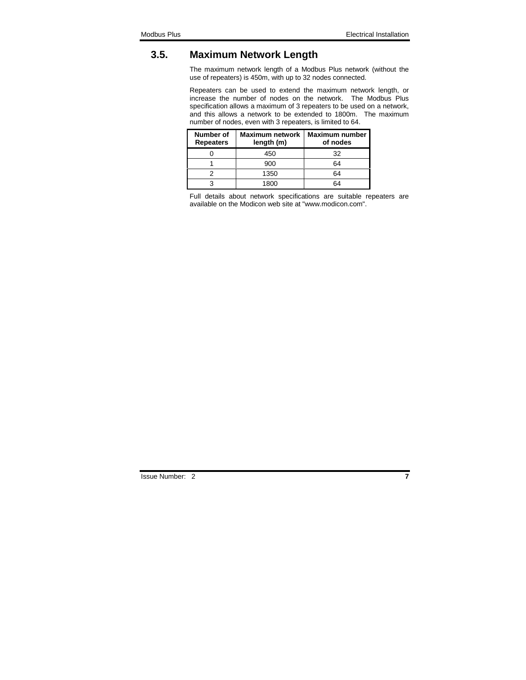# **3.5. Maximum Network Length**

The maximum network length of a Modbus Plus network (without the use of repeaters) is 450m, with up to 32 nodes connected.

Repeaters can be used to extend the maximum network length, or increase the number of nodes on the network. The Modbus Plus specification allows a maximum of 3 repeaters to be used on a network, and this allows a network to be extended to 1800m. The maximum number of nodes, even with 3 repeaters, is limited to 64.

| Number of<br><b>Repeaters</b> | <b>Maximum network</b><br>length (m) | <b>Maximum number</b><br>of nodes |
|-------------------------------|--------------------------------------|-----------------------------------|
|                               | 450                                  | 32                                |
|                               | 900                                  | 64                                |
|                               | 1350                                 | 64                                |
|                               | 1800                                 |                                   |

Full details about network specifications are suitable repeaters are available on the Modicon web site at "www.modicon.com".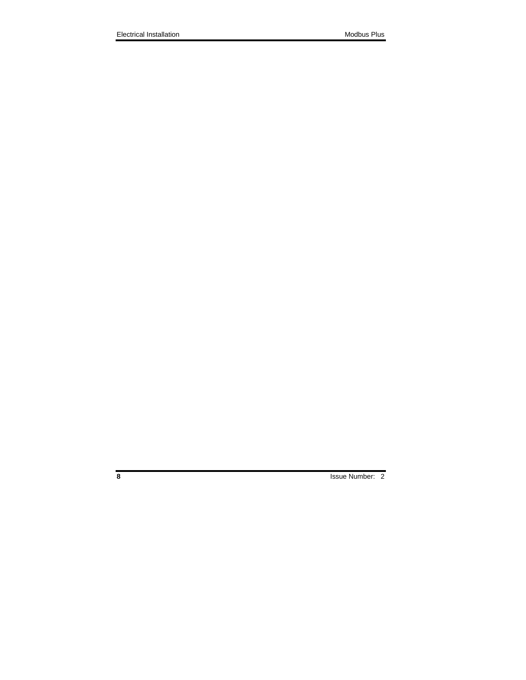**8** Issue Number: 2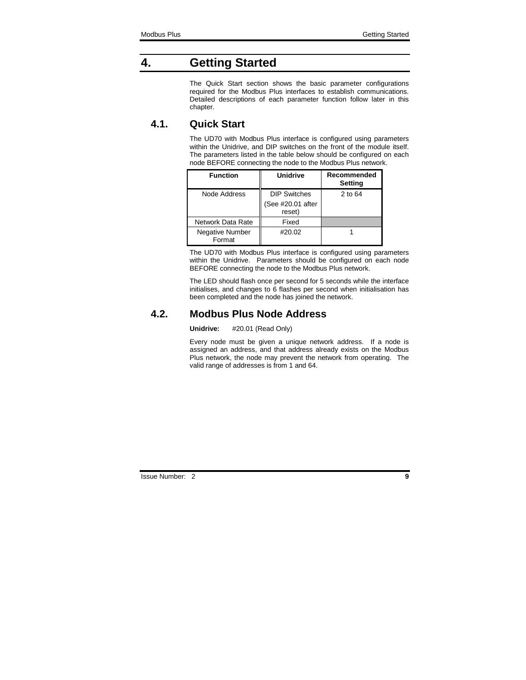# **4. Getting Started**

The Quick Start section shows the basic parameter configurations required for the Modbus Plus interfaces to establish communications. Detailed descriptions of each parameter function follow later in this chapter.

# **4.1. Quick Start**

The UD70 with Modbus Plus interface is configured using parameters within the Unidrive, and DIP switches on the front of the module itself. The parameters listed in the table below should be configured on each node BEFORE connecting the node to the Modbus Plus network.

| <b>Function</b>           | <b>Unidrive</b>             | Recommended<br>Setting |  |
|---------------------------|-----------------------------|------------------------|--|
| Node Address              | <b>DIP Switches</b>         | 2 to 64                |  |
|                           | (See #20.01 after<br>reset) |                        |  |
| Network Data Rate         | Fixed                       |                        |  |
| Negative Number<br>Format | #20.02                      |                        |  |

The UD70 with Modbus Plus interface is configured using parameters within the Unidrive. Parameters should be configured on each node BEFORE connecting the node to the Modbus Plus network.

The LED should flash once per second for 5 seconds while the interface initialises, and changes to 6 flashes per second when initialisation has been completed and the node has joined the network.

# **4.2. Modbus Plus Node Address**

#### **Unidrive:** #20.01 (Read Only)

Every node must be given a unique network address. If a node is assigned an address, and that address already exists on the Modbus Plus network, the node may prevent the network from operating. The valid range of addresses is from 1 and 64.

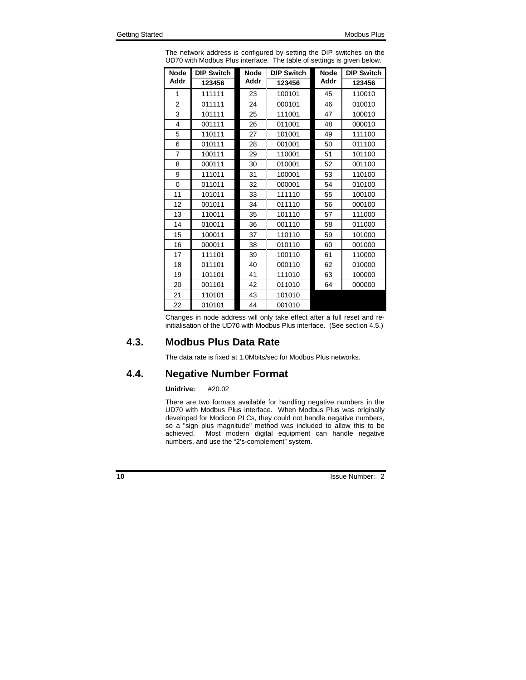| <b>Node</b>    | <b>DIP Switch</b> | <b>Node</b> | <b>DIP Switch</b> | <b>Node</b> | <b>DIP Switch</b> |
|----------------|-------------------|-------------|-------------------|-------------|-------------------|
| Addr           | 123456            | Addr        | 123456            | Addr        | 123456            |
| 1              | 111111            | 23          | 100101            | 45          | 110010            |
| $\overline{2}$ | 011111            | 24          | 000101            | 46          | 010010            |
| 3              | 101111            | 25          | 111001            | 47          | 100010            |
| 4              | 001111            | 26          | 011001            | 48          | 000010            |
| 5              | 110111            | 27          | 101001            | 49          | 111100            |
| 6              | 010111            | 28          | 001001            | 50          | 011100            |
| $\overline{7}$ | 100111            | 29          | 110001            | 51          | 101100            |
| 8              | 000111            | 30          | 010001            | 52          | 001100            |
| 9              | 111011            | 31          | 100001            | 53          | 110100            |
| $\Omega$       | 011011            | 32          | 000001            | 54          | 010100            |
| 11             | 101011            | 33          | 111110            | 55          | 100100            |
| 12             | 001011            | 34          | 011110            | 56          | 000100            |
| 13             | 110011            | 35          | 101110            | 57          | 111000            |
| 14             | 010011            | 36          | 001110            | 58          | 011000            |
| 15             | 100011            | 37          | 110110            | 59          | 101000            |
| 16             | 000011            | 38          | 010110            | 60          | 001000            |
| 17             | 111101            | 39          | 100110            | 61          | 110000            |
| 18             | 011101            | 40          | 000110            | 62          | 010000            |
| 19             | 101101            | 41          | 111010            | 63          | 100000            |
| 20             | 001101            | 42          | 011010            | 64          | 000000            |
| 21             | 110101            | 43          | 101010            |             |                   |
| 22             | 010101            | 44          | 001010            |             |                   |

| The network address is configured by setting the DIP switches on the   |
|------------------------------------------------------------------------|
| UD70 with Modbus Plus interface. The table of settings is given below. |

Changes in node address will only take effect after a full reset and reinitialisation of the UD70 with Modbus Plus interface. (See section 4.5.)

# **4.3. Modbus Plus Data Rate**

The data rate is fixed at 1.0Mbits/sec for Modbus Plus networks.

# **4.4. Negative Number Format**

**Unidrive:** #20.02

There are two formats available for handling negative numbers in the UD70 with Modbus Plus interface. When Modbus Plus was originally developed for Modicon PLCs, they could not handle negative numbers, so a "sign plus magnitude" method was included to allow this to be achieved. Most modern digital equipment can handle negative numbers, and use the "2's-complement" system.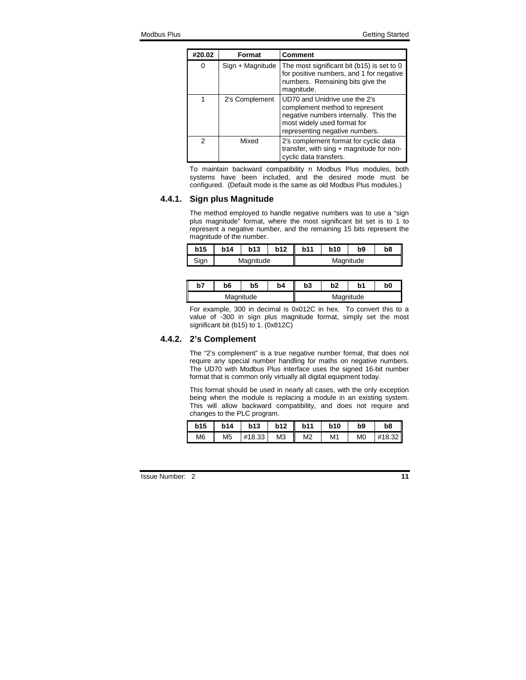| #20.02   | Format           | <b>Comment</b>                                                                                                                                                            |
|----------|------------------|---------------------------------------------------------------------------------------------------------------------------------------------------------------------------|
| $\Omega$ | Sign + Magnitude | The most significant bit (b15) is set to 0<br>for positive numbers, and 1 for negative<br>numbers. Remaining bits give the<br>magnitude.                                  |
|          | 2's Complement   | UD70 and Unidrive use the 2's<br>complement method to represent<br>negative numbers internally. This the<br>most widely used format for<br>representing negative numbers. |
| 2        | Mixed            | 2's complement format for cyclic data<br>transfer, with sing + magnitude for non-<br>cyclic data transfers.                                                               |

To maintain backward compatibility n Modbus Plus modules, both systems have been included, and the desired mode must be configured. (Default mode is the same as old Modbus Plus modules.)

#### **4.4.1. Sign plus Magnitude**

The method employed to handle negative numbers was to use a "sign plus magnitude" format, where the most significant bit set is to 1 to represent a negative number, and the remaining 15 bits represent the magnitude of the number.

| <b>b15</b> | ከ14 | <b>b13</b> | <b>b12</b> | b11       | <b>b10</b> | b9 | b8 |
|------------|-----|------------|------------|-----------|------------|----|----|
| Sign       |     | Magnitude  |            | Magnitude |            |    |    |

| p         | b <sub>6</sub> | b5 | b4 | b3 | いつ<br>IJΖ | b1 | b0 |
|-----------|----------------|----|----|----|-----------|----|----|
| Magnitude |                |    |    |    | Magnitude |    |    |

For example, 300 in decimal is 0x012C in hex. To convert this to a value of -300 in sign plus magnitude format, simply set the most significant bit (b15) to 1. (0x812C)

#### **4.4.2. 2's Complement**

┠

The "2's complement" is a true negative number format, that does not require any special number handling for maths on negative numbers. The UD70 with Modbus Plus interface uses the signed 16-bit number format that is common only virtually all digital equipment today.

This format should be used in nearly all cases, with the only exception being when the module is replacing a module in an existing system. This will allow backward compatibility, and does not require and changes to the PLC program.

| b15 | <b>b14</b> | b13    | b12            | b11            | <b>b10</b>     | b9             | b8     |
|-----|------------|--------|----------------|----------------|----------------|----------------|--------|
| M6  | M5         | #18.33 | M <sub>3</sub> | M <sub>2</sub> | M <sub>1</sub> | M <sub>0</sub> | #18.32 |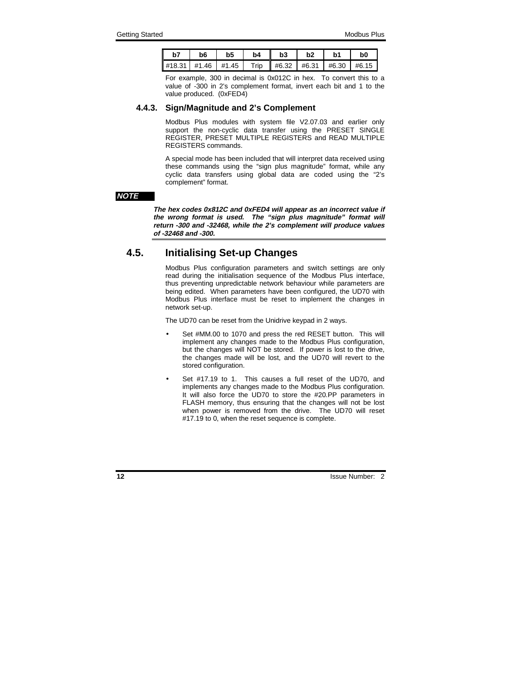| ll     | b6        | b5        | b4   | b3         | b2    |       | b0       |
|--------|-----------|-----------|------|------------|-------|-------|----------|
| #18.31 | .46<br>#1 | .45<br>#1 | Trip | #6.32<br>Ш | #6.31 | #6.30 | 15<br>#6 |

For example, 300 in decimal is 0x012C in hex. To convert this to a value of -300 in 2's complement format, invert each bit and 1 to the value produced. (0xFED4)

#### **4.4.3. Sign/Magnitude and 2's Complement**

Modbus Plus modules with system file V2.07.03 and earlier only support the non-cyclic data transfer using the PRESET SINGLE REGISTER, PRESET MULTIPLE REGISTERS and READ MULTIPLE REGISTERS commands.

A special mode has been included that will interpret data received using these commands using the "sign plus magnitude" format, while any cyclic data transfers using global data are coded using the "2's complement" format.

#### **NOTE**

**The hex codes 0x812C and 0xFED4 will appear as an incorrect value if the wrong format is used. The "sign plus magnitude" format will return -300 and -32468, while the 2's complement will produce values of -32468 and -300.**

## **4.5. Initialising Set-up Changes**

Modbus Plus configuration parameters and switch settings are only read during the initialisation sequence of the Modbus Plus interface, thus preventing unpredictable network behaviour while parameters are being edited. When parameters have been configured, the UD70 with Modbus Plus interface must be reset to implement the changes in network set-up.

The UD70 can be reset from the Unidrive keypad in 2 ways.

- Set #MM.00 to 1070 and press the red RESET button. This will implement any changes made to the Modbus Plus configuration, but the changes will NOT be stored. If power is lost to the drive, the changes made will be lost, and the UD70 will revert to the stored configuration.
- Set #17.19 to 1. This causes a full reset of the UD70, and implements any changes made to the Modbus Plus configuration. It will also force the UD70 to store the #20.PP parameters in FLASH memory, thus ensuring that the changes will not be lost when power is removed from the drive. The UD70 will reset #17.19 to 0, when the reset sequence is complete.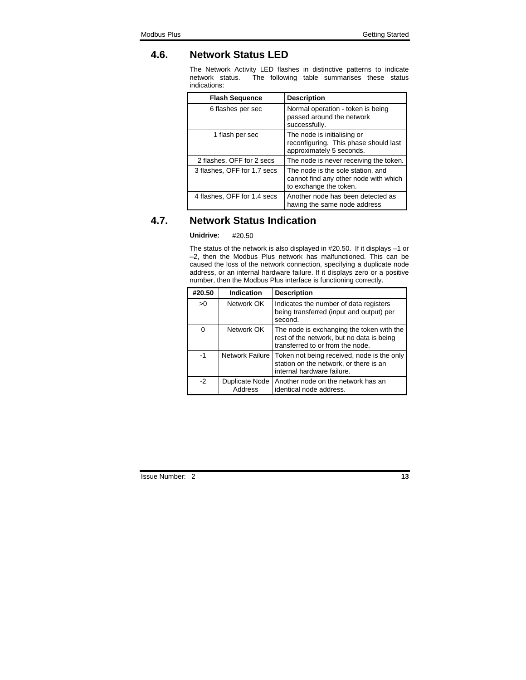# **4.6. Network Status LED**

The Network Activity LED flashes in distinctive patterns to indicate network status. The following table summarises these status indications:

| <b>Flash Sequence</b>       | <b>Description</b>                                                                                   |
|-----------------------------|------------------------------------------------------------------------------------------------------|
| 6 flashes per sec           | Normal operation - token is being<br>passed around the network<br>successfully.                      |
| 1 flash per sec             | The node is initialising or<br>reconfiguring. This phase should last<br>approximately 5 seconds.     |
| 2 flashes, OFF for 2 secs   | The node is never receiving the token.                                                               |
| 3 flashes, OFF for 1.7 secs | The node is the sole station, and<br>cannot find any other node with which<br>to exchange the token. |
| 4 flashes, OFF for 1.4 secs | Another node has been detected as<br>having the same node address                                    |

## **4.7. Network Status Indication**

#### **Unidrive:** #20.50

The status of the network is also displayed in #20.50. If it displays –1 or –2, then the Modbus Plus network has malfunctioned. This can be caused the loss of the network connection, specifying a duplicate node address, or an internal hardware failure. If it displays zero or a positive number, then the Modbus Plus interface is functioning correctly.

| #20.50   | Indication                | <b>Description</b>                                                                                                         |
|----------|---------------------------|----------------------------------------------------------------------------------------------------------------------------|
| >0       | Network OK                | Indicates the number of data registers<br>being transferred (input and output) per<br>second.                              |
| $\Omega$ | Network OK                | The node is exchanging the token with the<br>rest of the network, but no data is being<br>transferred to or from the node. |
| $-1$     | Network Failure           | Token not being received, node is the only<br>station on the network, or there is an<br>internal hardware failure.         |
| $-2$     | Duplicate Node<br>Address | Another node on the network has an<br>identical node address.                                                              |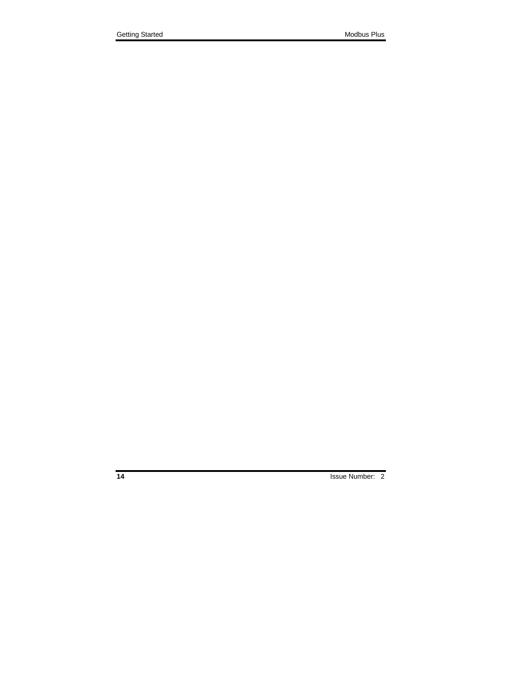**14** Issue Number: 2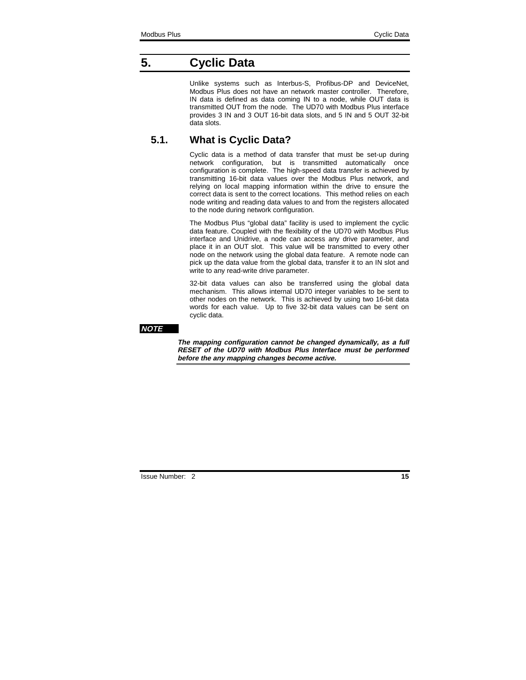# **5. Cyclic Data**

Unlike systems such as Interbus-S, Profibus-DP and DeviceNet, Modbus Plus does not have an network master controller. Therefore, IN data is defined as data coming IN to a node, while OUT data is transmitted OUT from the node. The UD70 with Modbus Plus interface provides 3 IN and 3 OUT 16-bit data slots, and 5 IN and 5 OUT 32-bit data slots.

# **5.1. What is Cyclic Data?**

Cyclic data is a method of data transfer that must be set-up during network configuration, but is transmitted automatically once configuration is complete. The high-speed data transfer is achieved by transmitting 16-bit data values over the Modbus Plus network, and relying on local mapping information within the drive to ensure the correct data is sent to the correct locations. This method relies on each node writing and reading data values to and from the registers allocated to the node during network configuration.

The Modbus Plus "global data" facility is used to implement the cyclic data feature. Coupled with the flexibility of the UD70 with Modbus Plus interface and Unidrive, a node can access any drive parameter, and place it in an OUT slot. This value will be transmitted to every other node on the network using the global data feature. A remote node can pick up the data value from the global data, transfer it to an IN slot and write to any read-write drive parameter.

32-bit data values can also be transferred using the global data mechanism. This allows internal UD70 integer variables to be sent to other nodes on the network. This is achieved by using two 16-bit data words for each value. Up to five 32-bit data values can be sent on cyclic data.

#### **NOTE**

**The mapping configuration cannot be changed dynamically, as a full RESET of the UD70 with Modbus Plus Interface must be performed before the any mapping changes become active.**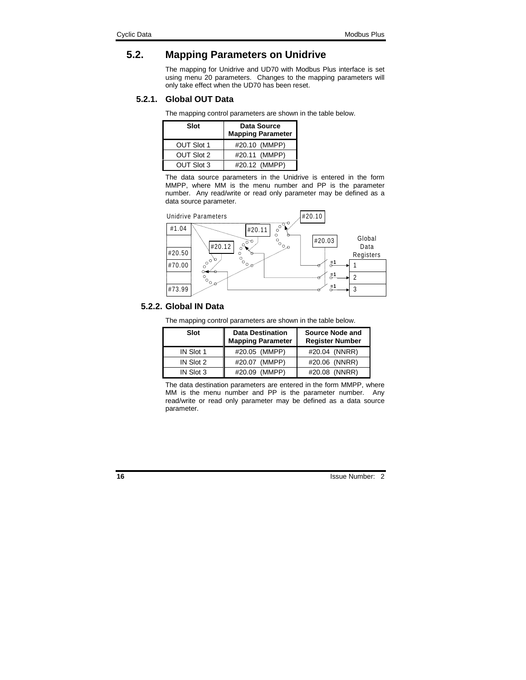# **5.2. Mapping Parameters on Unidrive**

The mapping for Unidrive and UD70 with Modbus Plus interface is set using menu 20 parameters. Changes to the mapping parameters will only take effect when the UD70 has been reset.

### **5.2.1. Global OUT Data**

The mapping control parameters are shown in the table below.

| Slot       | Data Source<br><b>Mapping Parameter</b> |
|------------|-----------------------------------------|
| OUT Slot 1 | #20.10 (MMPP)                           |
| OUT Slot 2 | #20.11 (MMPP)                           |
| OUT Slot 3 | #20.12 (MMPP)                           |

The data source parameters in the Unidrive is entered in the form MMPP, where MM is the menu number and PP is the parameter number. Any read/write or read only parameter may be defined as a data source parameter.



### **5.2.2. Global IN Data**

The mapping control parameters are shown in the table below.

| <b>Slot</b> | <b>Data Destination</b><br><b>Mapping Parameter</b> | Source Node and<br><b>Register Number</b> |
|-------------|-----------------------------------------------------|-------------------------------------------|
| IN Slot 1   | #20.05 (MMPP)                                       | #20.04 (NNRR)                             |
| IN Slot 2   | #20.07 (MMPP)                                       | #20.06 (NNRR)                             |
| IN Slot 3   | #20.09 (MMPP)                                       | #20.08 (NNRR)                             |

The data destination parameters are entered in the form MMPP, where MM is the menu number and PP is the parameter number. Any read/write or read only parameter may be defined as a data source parameter.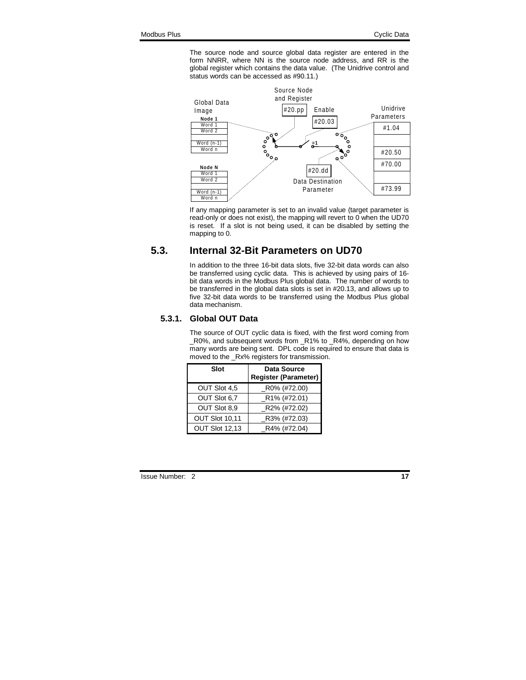The source node and source global data register are entered in the form NNRR, where NN is the source node address, and RR is the global register which contains the data value. (The Unidrive control and status words can be accessed as #90.11.)



If any mapping parameter is set to an invalid value (target parameter is read-only or does not exist), the mapping will revert to 0 when the UD70 is reset. If a slot is not being used, it can be disabled by setting the mapping to 0.

# **5.3. Internal 32-Bit Parameters on UD70**

In addition to the three 16-bit data slots, five 32-bit data words can also be transferred using cyclic data. This is achieved by using pairs of 16 bit data words in the Modbus Plus global data. The number of words to be transferred in the global data slots is set in #20.13, and allows up to five 32-bit data words to be transferred using the Modbus Plus global data mechanism.

### **5.3.1. Global OUT Data**

The source of OUT cyclic data is fixed, with the first word coming from \_R0%, and subsequent words from \_R1% to \_R4%, depending on how many words are being sent. DPL code is required to ensure that data is moved to the \_Rx% registers for transmission.

| Slot           | Data Source<br><b>Register (Parameter)</b> |
|----------------|--------------------------------------------|
| OUT Slot 4,5   | R0% (#72.00)                               |
| OUT Slot 6,7   | R1% (#72.01)                               |
| OUT Slot 8.9   | R2% (#72.02)                               |
| OUT Slot 10,11 | R3% (#72.03)                               |
| OUT Slot 12,13 | R4% (#72.04)                               |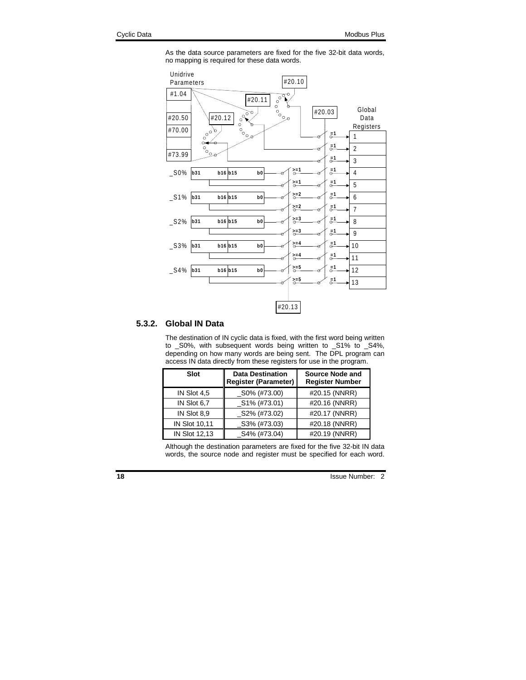As the data source parameters are fixed for the five 32-bit data words, no mapping is required for these data words.



### **5.3.2. Global IN Data**

The destination of IN cyclic data is fixed, with the first word being written to \_S0%, with subsequent words being written to \_S1% to \_S4%, depending on how many words are being sent. The DPL program can access IN data directly from these registers for use in the program.

| <b>Slot</b>          | <b>Data Destination</b><br><b>Register (Parameter)</b> | <b>Source Node and</b><br><b>Register Number</b> |
|----------------------|--------------------------------------------------------|--------------------------------------------------|
| IN Slot 4.5          | S0% (#73.00)                                           | #20.15 (NNRR)                                    |
| IN Slot 6,7          | $\_S1\%$ (#73.01)                                      | #20.16 (NNRR)                                    |
| IN Slot 8.9          | _S2% (#73.02)                                          | #20.17 (NNRR)                                    |
| <b>IN Slot 10,11</b> | S3% (#73.03)                                           | #20.18 (NNRR)                                    |
| IN Slot 12,13        | S4% (#73.04)                                           | #20.19 (NNRR)                                    |

Although the destination parameters are fixed for the five 32-bit IN data words, the source node and register must be specified for each word.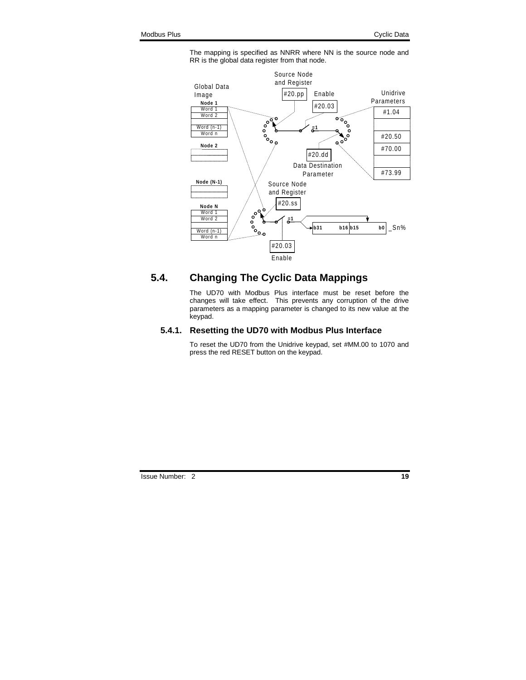The mapping is specified as NNRR where NN is the source node and RR is the global data register from that node.



# **5.4. Changing The Cyclic Data Mappings**

The UD70 with Modbus Plus interface must be reset before the changes will take effect. This prevents any corruption of the drive parameters as a mapping parameter is changed to its new value at the keypad.

#### **5.4.1. Resetting the UD70 with Modbus Plus Interface**

To reset the UD70 from the Unidrive keypad, set #MM.00 to 1070 and press the red RESET button on the keypad.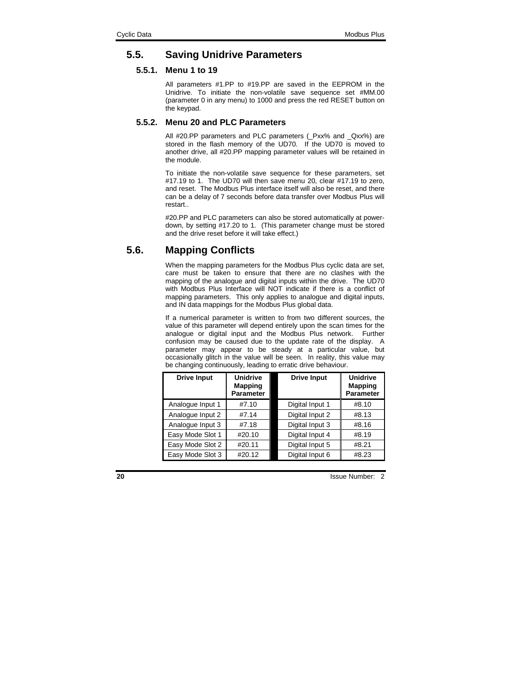### **5.5. Saving Unidrive Parameters**

#### **5.5.1. Menu 1 to 19**

All parameters #1.PP to #19.PP are saved in the EEPROM in the Unidrive. To initiate the non-volatile save sequence set #MM.00 (parameter 0 in any menu) to 1000 and press the red RESET button on the keypad.

#### **5.5.2. Menu 20 and PLC Parameters**

All #20.PP parameters and PLC parameters (\_Pxx% and \_Qxx%) are stored in the flash memory of the UD70. If the UD70 is moved to another drive, all #20.PP mapping parameter values will be retained in the module.

To initiate the non-volatile save sequence for these parameters, set #17.19 to 1. The UD70 will then save menu 20, clear #17.19 to zero, and reset. The Modbus Plus interface itself will also be reset, and there can be a delay of 7 seconds before data transfer over Modbus Plus will restart..

#20.PP and PLC parameters can also be stored automatically at powerdown, by setting #17.20 to 1. (This parameter change must be stored and the drive reset before it will take effect.)

# **5.6. Mapping Conflicts**

When the mapping parameters for the Modbus Plus cyclic data are set, care must be taken to ensure that there are no clashes with the mapping of the analogue and digital inputs within the drive. The UD70 with Modbus Plus Interface will NOT indicate if there is a conflict of mapping parameters. This only applies to analogue and digital inputs, and IN data mappings for the Modbus Plus global data.

If a numerical parameter is written to from two different sources, the value of this parameter will depend entirely upon the scan times for the analogue or digital input and the Modbus Plus network. Further confusion may be caused due to the update rate of the display. A parameter may appear to be steady at a particular value, but occasionally glitch in the value will be seen. In reality, this value may be changing continuously, leading to erratic drive behaviour.

| <b>Drive Input</b> | <b>Unidrive</b><br><b>Mapping</b><br><b>Parameter</b> | <b>Drive Input</b> | <b>Unidrive</b><br><b>Mapping</b><br><b>Parameter</b> |
|--------------------|-------------------------------------------------------|--------------------|-------------------------------------------------------|
| Analogue Input 1   | #7.10                                                 | Digital Input 1    | #8.10                                                 |
| Analogue Input 2   | #7.14                                                 | Digital Input 2    | #8.13                                                 |
| Analogue Input 3   | #7.18                                                 | Digital Input 3    | #8.16                                                 |
| Easy Mode Slot 1   | #20.10                                                | Digital Input 4    | #8.19                                                 |
| Easy Mode Slot 2   | #20.11                                                | Digital Input 5    | #8.21                                                 |
| Easy Mode Slot 3   | #20.12                                                | Digital Input 6    | #8.23                                                 |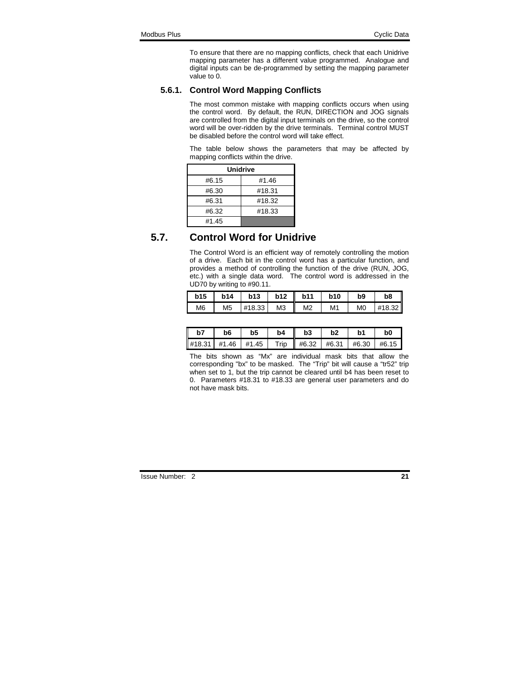To ensure that there are no mapping conflicts, check that each Unidrive mapping parameter has a different value programmed. Analogue and digital inputs can be de-programmed by setting the mapping parameter value to 0.

#### **5.6.1. Control Word Mapping Conflicts**

The most common mistake with mapping conflicts occurs when using the control word. By default, the RUN, DIRECTION and JOG signals are controlled from the digital input terminals on the drive, so the control word will be over-ridden by the drive terminals. Terminal control MUST be disabled before the control word will take effect.

The table below shows the parameters that may be affected by mapping conflicts within the drive.

| <b>Unidrive</b> |        |  |  |  |
|-----------------|--------|--|--|--|
| #6.15           | #1.46  |  |  |  |
| #6.30           | #18.31 |  |  |  |
| #6.31           | #18.32 |  |  |  |
| #6.32           | #18.33 |  |  |  |
| #1.45           |        |  |  |  |

# **5.7. Control Word for Unidrive**

The Control Word is an efficient way of remotely controlling the motion of a drive. Each bit in the control word has a particular function, and provides a method of controlling the function of the drive (RUN, JOG, etc.) with a single data word. The control word is addressed in the UD70 by writing to #90.11.

| <b>b15</b>     | <b>b14</b>     | b13    | b12 | b11<br>$\mathbf{I}$ | <b>b10</b>     | b9             | b8     |
|----------------|----------------|--------|-----|---------------------|----------------|----------------|--------|
| M <sub>6</sub> | M <sub>5</sub> | #18.33 | M3  | M <sub>2</sub>      | M <sub>1</sub> | M <sub>0</sub> | #18.32 |

| b7     | b6    | b <sub>5</sub> | b4   | b3                   | b <sub>2</sub> | b1    | b0    |
|--------|-------|----------------|------|----------------------|----------------|-------|-------|
| #18.31 | #1.46 | #1.45          | Trip | $\mathbf l$<br>#6.32 | #6.31          | #6.30 | #6.15 |

The bits shown as "Mx" are individual mask bits that allow the corresponding "bx" to be masked. The "Trip" bit will cause a "tr52" trip when set to 1, but the trip cannot be cleared until b4 has been reset to 0. Parameters #18.31 to #18.33 are general user parameters and do not have mask bits.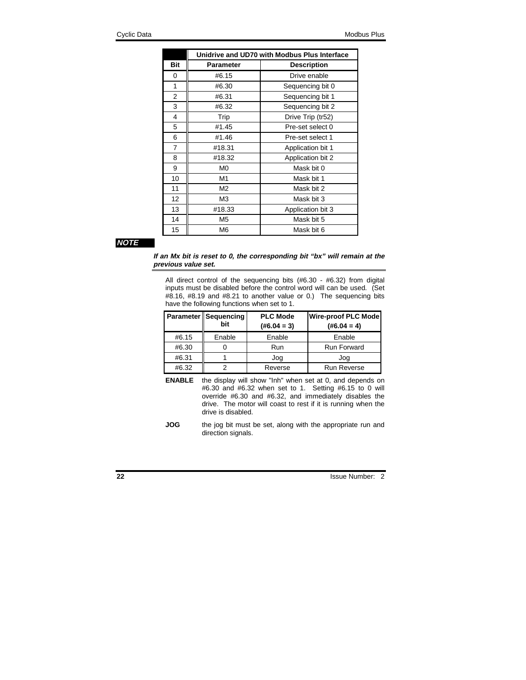|                 |                | Unidrive and UD70 with Modbus Plus Interface |
|-----------------|----------------|----------------------------------------------|
| Bit             | Parameter      | <b>Description</b>                           |
| 0               | #6.15          | Drive enable                                 |
| 1               | #6.30          | Sequencing bit 0                             |
| $\overline{2}$  | #6.31          | Sequencing bit 1                             |
| 3               | #6.32          | Sequencing bit 2                             |
| 4               | Trip           | Drive Trip (tr52)                            |
| 5               | #1.45          | Pre-set select 0                             |
| 6               | #1.46          | Pre-set select 1                             |
| 7               | #18.31         | Application bit 1                            |
| 8               | #18.32         | Application bit 2                            |
| 9               | M <sub>0</sub> | Mask bit 0                                   |
| 10              | M <sub>1</sub> | Mask bit 1                                   |
| 11              | M <sub>2</sub> | Mask bit 2                                   |
| 12 <sup>2</sup> | MЗ             | Mask bit 3                                   |
| 13              | #18.33         | Application bit 3                            |
| 14              | M <sub>5</sub> | Mask bit 5                                   |
| 15              | M6             | Mask bit 6                                   |

**NOTE**

#### **If an Mx bit is reset to 0, the corresponding bit "bx" will remain at the previous value set.**

All direct control of the sequencing bits (#6.30 - #6.32) from digital inputs must be disabled before the control word will can be used. (Set #8.16, #8.19 and #8.21 to another value or 0.) The sequencing bits have the following functions when set to 1.

|       | Parameter Sequencing<br>bit | <b>PLC Mode</b><br>$(\#6.04 = 3)$ | <b>Wire-proof PLC Mode</b><br>$(\#6.04 = 4)$ |
|-------|-----------------------------|-----------------------------------|----------------------------------------------|
| #6.15 | Enable                      | Enable                            | Enable                                       |
| #6.30 |                             | Run                               | <b>Run Forward</b>                           |
| #6.31 |                             | Jog                               | Jog                                          |
| #6.32 |                             | Reverse                           | <b>Run Reverse</b>                           |

**ENABLE** the display will show "Inh" when set at 0, and depends on #6.30 and #6.32 when set to 1. Setting #6.15 to 0 will override #6.30 and #6.32, and immediately disables the drive. The motor will coast to rest if it is running when the drive is disabled.

**JOG** the jog bit must be set, along with the appropriate run and direction signals.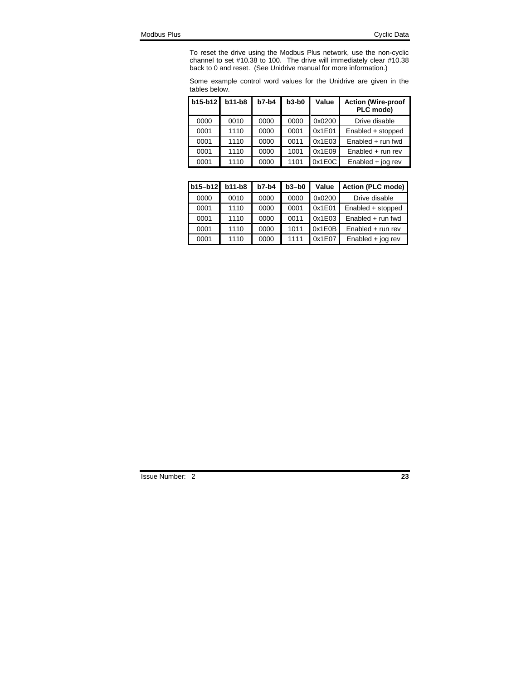To reset the drive using the Modbus Plus network, use the non-cyclic channel to set #10.38 to 100. The drive will immediately clear #10.38 back to 0 and reset. (See Unidrive manual for more information.)

Some example control word values for the Unidrive are given in the tables below.

| $b15-b12$ | <b>b11-b8</b> | $b7-b4$ | $b3-b0$ | Value  | <b>Action (Wire-proof</b><br>PLC mode) |
|-----------|---------------|---------|---------|--------|----------------------------------------|
| 0000      | 0010          | 0000    | 0000    | 0x0200 | Drive disable                          |
| 0001      | 1110          | 0000    | 0001    | 0x1E01 | Enabled + stopped                      |
| 0001      | 1110          | 0000    | 0011    | 0x1E03 | Enabled $+$ run fwd                    |
| 0001      | 1110          | 0000    | 1001    | 0x1E09 | $Enabled + run rev$                    |
| 0001      | 1110          | 0000    | 1101    | 0x1E0C | Enabled $+$ jog rev                    |

| $b15-b12$ | $b11-b8$ | $b7-b4$ | $b3-b0$ | Value  | <b>Action (PLC mode)</b> |
|-----------|----------|---------|---------|--------|--------------------------|
| 0000      | 0010     | 0000    | 0000    | 0x0200 | Drive disable            |
| 0001      | 1110     | 0000    | 0001    | 0x1E01 | Enabled + stopped        |
| 0001      | 1110     | 0000    | 0011    | 0x1E03 | Enabled $+$ run fwd      |
| 0001      | 1110     | 0000    | 1011    | 0x1E0B | $Enabled + run rev$      |
| 0001      | 1110     | 0000    | 1111    | 0x1E07 | Enabled $+$ jog rev      |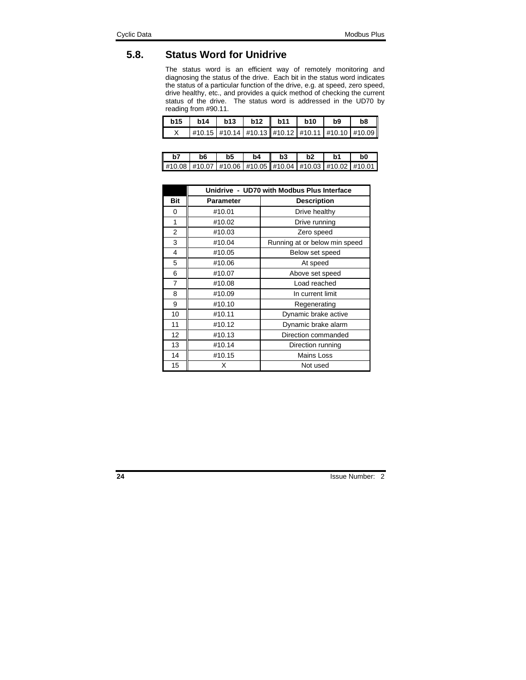# **5.8. Status Word for Unidrive**

The status word is an efficient way of remotely monitoring and diagnosing the status of the drive. Each bit in the status word indicates the status of a particular function of the drive, e.g. at speed, zero speed, drive healthy, etc., and provides a quick method of checking the current status of the drive. The status word is addressed in the UD70 by reading from #90.11.

| $\vert$ b15 $\vert$ b14 |                                                                   | $b13$   $b12$   $b11$ | b10 | <b>b9</b> | b8 |
|-------------------------|-------------------------------------------------------------------|-----------------------|-----|-----------|----|
|                         | $\mid$ #10.15 #10.14   #10.13   #10.12   #10.11   #10.10   #10.09 |                       |     |           |    |

|  | b6 | b5                                                                        | b4 |  | b <sub>0</sub> |
|--|----|---------------------------------------------------------------------------|----|--|----------------|
|  |    | H #10.08 + #10.07 + #10.06 + #10.05 + #10.04 + #10.03 + #10.02 + #10.01 + |    |  |                |

|                | Unidrive - UD70 with Modbus Plus Interface |                               |  |  |  |
|----------------|--------------------------------------------|-------------------------------|--|--|--|
| <b>Bit</b>     | <b>Parameter</b>                           | <b>Description</b>            |  |  |  |
| 0              | #10.01                                     | Drive healthy                 |  |  |  |
| 1              | #10.02                                     | Drive running                 |  |  |  |
| $\overline{2}$ | #10.03                                     | Zero speed                    |  |  |  |
| 3              | #10.04                                     | Running at or below min speed |  |  |  |
| 4              | #10.05                                     | Below set speed               |  |  |  |
| 5              | #10.06                                     | At speed                      |  |  |  |
| 6              | #10.07                                     | Above set speed               |  |  |  |
| $\overline{7}$ | #10.08                                     | Load reached                  |  |  |  |
| 8              | #10.09                                     | In current limit              |  |  |  |
| 9              | #10.10                                     | Regenerating                  |  |  |  |
| 10             | #10.11                                     | Dynamic brake active          |  |  |  |
| 11             | #10.12                                     | Dynamic brake alarm           |  |  |  |
| 12             | #10.13                                     | Direction commanded           |  |  |  |
| 13             | #10.14                                     | Direction running             |  |  |  |
| 14             | #10.15                                     | <b>Mains Loss</b>             |  |  |  |
| 15             | X                                          | Not used                      |  |  |  |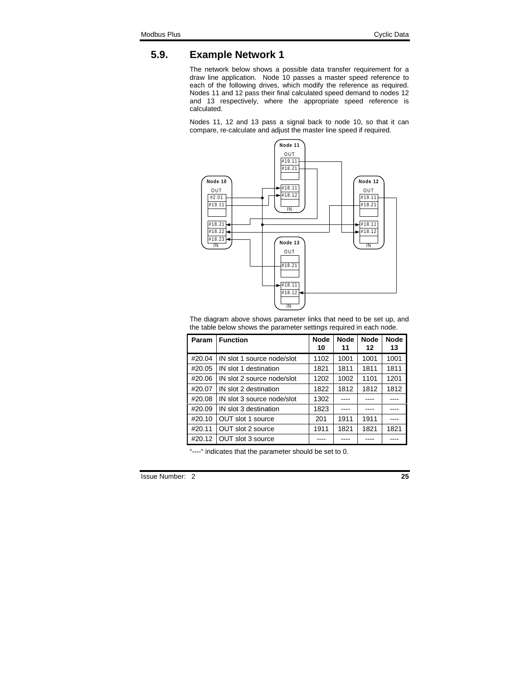# **5.9. Example Network 1**

The network below shows a possible data transfer requirement for a draw line application. Node 10 passes a master speed reference to each of the following drives, which modify the reference as required. Nodes 11 and 12 pass their final calculated speed demand to nodes 12 and 13 respectively, where the appropriate speed reference is calculated.

Nodes 11, 12 and 13 pass a signal back to node 10, so that it can compare, re-calculate and adjust the master line speed if required.



The diagram above shows parameter links that need to be set up, and the table below shows the parameter settings required in each node.

| Param  | <b>Function</b>            | <b>Node</b><br>10 | <b>Node</b><br>11 | <b>Node</b><br>12 | <b>Node</b><br>13 |
|--------|----------------------------|-------------------|-------------------|-------------------|-------------------|
| #20.04 | IN slot 1 source node/slot | 1102              | 1001              | 1001              | 1001              |
| #20.05 | IN slot 1 destination      | 1821              | 1811              | 1811              | 1811              |
| #20.06 | IN slot 2 source node/slot | 1202              | 1002              | 1101              | 1201              |
| #20.07 | IN slot 2 destination      | 1822              | 1812              | 1812              | 1812              |
| #20.08 | IN slot 3 source node/slot | 1302              |                   |                   |                   |
| #20.09 | IN slot 3 destination      | 1823              |                   |                   |                   |
| #20.10 | OUT slot 1 source          | 201               | 1911              | 1911              |                   |
| #20.11 | OUT slot 2 source          | 1911              | 1821              | 1821              | 1821              |
| #20.12 | OUT slot 3 source          |                   |                   |                   |                   |

"----" indicates that the parameter should be set to 0.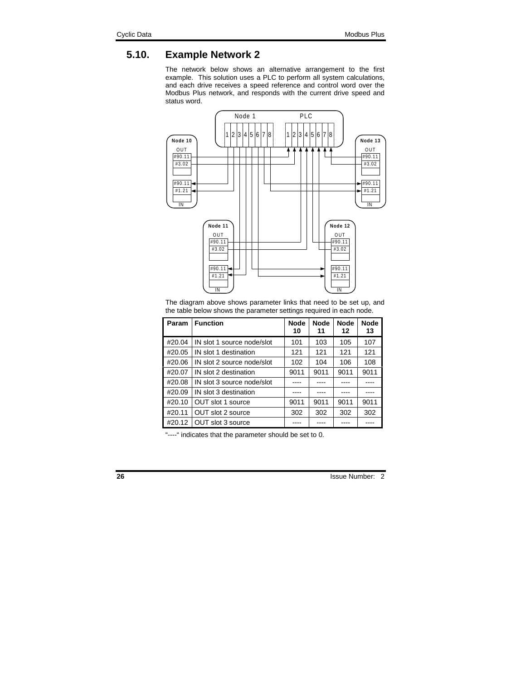# **5.10. Example Network 2**

The network below shows an alternative arrangement to the first example. This solution uses a PLC to perform all system calculations, and each drive receives a speed reference and control word over the Modbus Plus network, and responds with the current drive speed and status word.



The diagram above shows parameter links that need to be set up, and the table below shows the parameter settings required in each node.

| Param  | <b>Function</b>            | <b>Node</b><br>10 | <b>Node</b><br>11 | <b>Node</b><br>12 | <b>Node</b><br>13 |
|--------|----------------------------|-------------------|-------------------|-------------------|-------------------|
| #20.04 | IN slot 1 source node/slot | 101               | 103               | 105               | 107               |
| #20.05 | IN slot 1 destination      | 121               | 121               | 121               | 121               |
| #20.06 | IN slot 2 source node/slot | 102               | 104               | 106               | 108               |
| #20.07 | IN slot 2 destination      | 9011              | 9011              | 9011              | 9011              |
| #20.08 | IN slot 3 source node/slot |                   |                   |                   |                   |
| #20.09 | IN slot 3 destination      |                   |                   |                   |                   |
| #20.10 | OUT slot 1 source          | 9011              | 9011              | 9011              | 9011              |
| #20.11 | OUT slot 2 source          | 302               | 302               | 302               | 302               |
| #20.12 | OUT slot 3 source          |                   |                   |                   |                   |

"----" indicates that the parameter should be set to 0.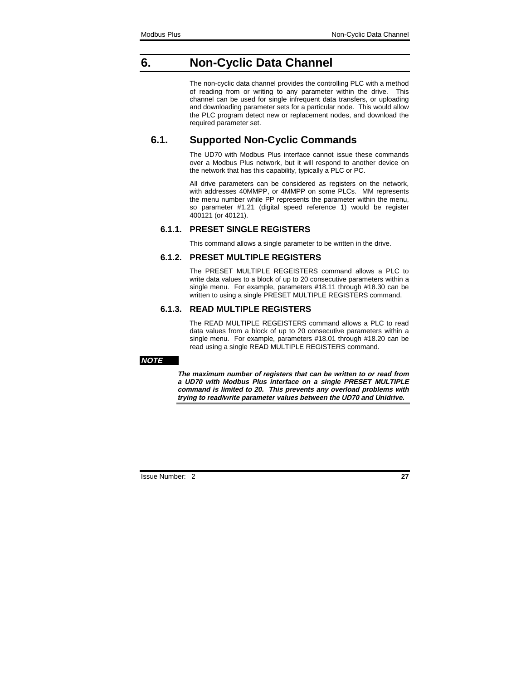# **6. Non-Cyclic Data Channel**

The non-cyclic data channel provides the controlling PLC with a method of reading from or writing to any parameter within the drive. This channel can be used for single infrequent data transfers, or uploading and downloading parameter sets for a particular node. This would allow the PLC program detect new or replacement nodes, and download the required parameter set.

## **6.1. Supported Non-Cyclic Commands**

The UD70 with Modbus Plus interface cannot issue these commands over a Modbus Plus network, but it will respond to another device on the network that has this capability, typically a PLC or PC.

All drive parameters can be considered as registers on the network, with addresses 40MMPP, or 4MMPP on some PLCs. MM represents the menu number while PP represents the parameter within the menu, so parameter #1.21 (digital speed reference 1) would be register 400121 (or 40121).

### **6.1.1. PRESET SINGLE REGISTERS**

This command allows a single parameter to be written in the drive.

#### **6.1.2. PRESET MULTIPLE REGISTERS**

The PRESET MULTIPLE REGEISTERS command allows a PLC to write data values to a block of up to 20 consecutive parameters within a single menu. For example, parameters #18.11 through #18.30 can be written to using a single PRESET MULTIPLE REGISTERS command.

#### **6.1.3. READ MULTIPLE REGISTERS**

The READ MULTIPLE REGEISTERS command allows a PLC to read data values from a block of up to 20 consecutive parameters within a single menu. For example, parameters #18.01 through #18.20 can be read using a single READ MULTIPLE REGISTERS command.

#### **NOTE**

**The maximum number of registers that can be written to or read from a UD70 with Modbus Plus interface on a single PRESET MULTIPLE command is limited to 20. This prevents any overload problems with trying to read/write parameter values between the UD70 and Unidrive.**

Issue Number: 2 **27**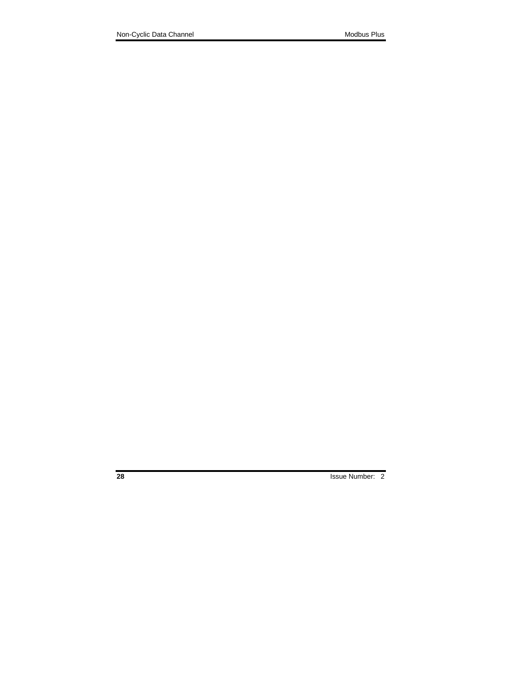**28** Issue Number: 2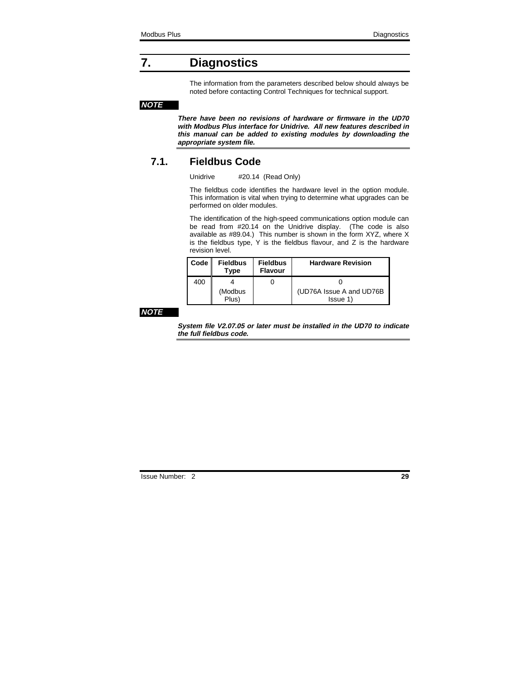# **7. Diagnostics**

The information from the parameters described below should always be noted before contacting Control Techniques for technical support.

### **NOTE**

**There have been no revisions of hardware or firmware in the UD70 with Modbus Plus interface for Unidrive. All new features described in this manual can be added to existing modules by downloading the appropriate system file.**

# **7.1. Fieldbus Code**

Unidrive #20.14 (Read Only)

The fieldbus code identifies the hardware level in the option module. This information is vital when trying to determine what upgrades can be performed on older modules.

The identification of the high-speed communications option module can be read from #20.14 on the Unidrive display. (The code is also available as #89.04.) This number is shown in the form XYZ, where X is the fieldbus type, Y is the fieldbus flavour, and Z is the hardware revision level.

| Code | <b>Fieldbus</b><br>Type | <b>Fieldbus</b><br><b>Flavour</b> | <b>Hardware Revision</b>              |
|------|-------------------------|-----------------------------------|---------------------------------------|
| 400  |                         |                                   |                                       |
|      | (Modbus<br>Plus)        |                                   | (UD76A Issue A and UD76B)<br>Issue 1) |

#### **NOTE**

**System file V2.07.05 or later must be installed in the UD70 to indicate the full fieldbus code.**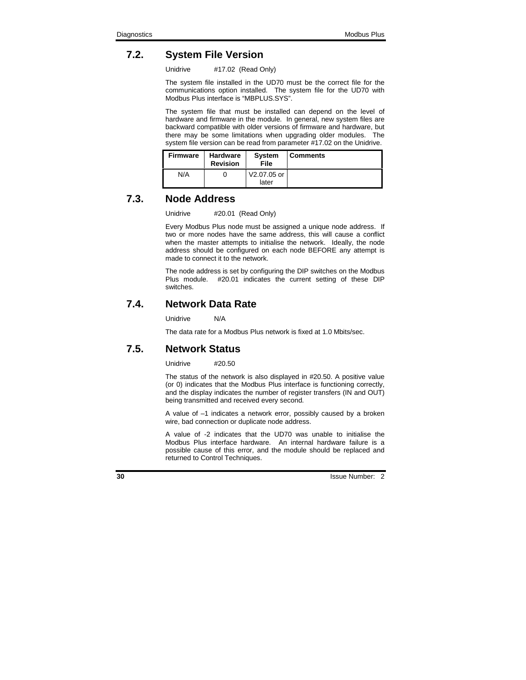### **7.2. System File Version**

Unidrive #17.02 (Read Only)

The system file installed in the UD70 must be the correct file for the communications option installed. The system file for the UD70 with Modbus Plus interface is "MBPLUS.SYS".

The system file that must be installed can depend on the level of hardware and firmware in the module. In general, new system files are backward compatible with older versions of firmware and hardware, but there may be some limitations when upgrading older modules. The system file version can be read from parameter #17.02 on the Unidrive.

| <b>Firmware</b> | <b>Hardware</b><br><b>Revision</b> | <b>System</b><br>File | <b>Comments</b> |
|-----------------|------------------------------------|-----------------------|-----------------|
| N/A             |                                    | V2.07.05 or<br>later  |                 |

## **7.3. Node Address**

Unidrive #20.01 (Read Only)

Every Modbus Plus node must be assigned a unique node address. If two or more nodes have the same address, this will cause a conflict when the master attempts to initialise the network. Ideally, the node address should be configured on each node BEFORE any attempt is made to connect it to the network.

The node address is set by configuring the DIP switches on the Modbus Plus module. #20.01 indicates the current setting of these DIP switches.

# **7.4. Network Data Rate**

Unidrive N/A

The data rate for a Modbus Plus network is fixed at 1.0 Mbits/sec.

## **7.5. Network Status**

Unidrive #20.50

The status of the network is also displayed in #20.50. A positive value (or 0) indicates that the Modbus Plus interface is functioning correctly, and the display indicates the number of register transfers (IN and OUT) being transmitted and received every second.

A value of –1 indicates a network error, possibly caused by a broken wire, bad connection or duplicate node address.

A value of -2 indicates that the UD70 was unable to initialise the Modbus Plus interface hardware. An internal hardware failure is a possible cause of this error, and the module should be replaced and returned to Control Techniques.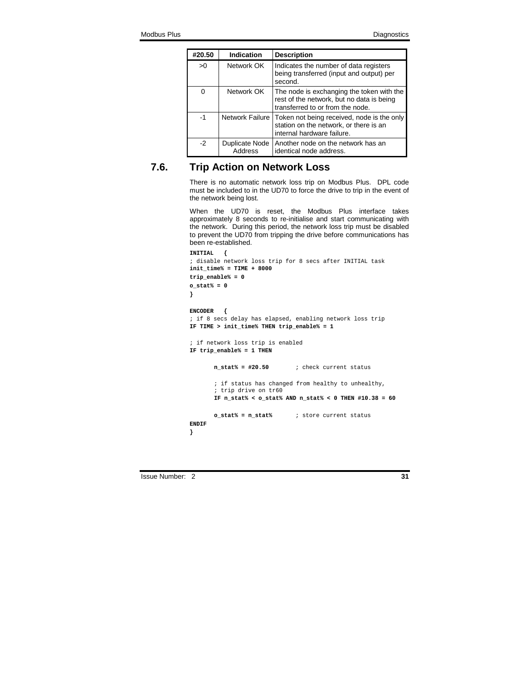| #20.50 | Indication                       | <b>Description</b>                                                                                                                   |
|--------|----------------------------------|--------------------------------------------------------------------------------------------------------------------------------------|
| >0     | Network OK                       | Indicates the number of data registers<br>being transferred (input and output) per<br>second.                                        |
| 0      | Network OK                       | The node is exchanging the token with the<br>rest of the network, but no data is being<br>transferred to or from the node.           |
| $-1$   |                                  | Network Failure   Token not being received, node is the only<br>station on the network, or there is an<br>internal hardware failure. |
| $-2$   | Duplicate Node<br><b>Address</b> | Another node on the network has an<br>identical node address.                                                                        |

# **7.6. Trip Action on Network Loss**

There is no automatic network loss trip on Modbus Plus. DPL code must be included to in the UD70 to force the drive to trip in the event of the network being lost.

When the UD70 is reset, the Modbus Plus interface takes approximately 8 seconds to re-initialise and start communicating with the network. During this period, the network loss trip must be disabled to prevent the UD70 from tripping the drive before communications has been re-established.

```
INITIAL {
; disable network loss trip for 8 secs after INITIAL task
init_time% = TIME + 8000
trip_enable% = 0
o_stat% = 0
}
ENCODER {
; if 8 secs delay has elapsed, enabling network loss trip
IF TIME > init_time% THEN trip_enable% = 1
; if network loss trip is enabled
IF trip_enable% = 1 THEN
      n_stat% = #20.50 ; check current status
      ; if status has changed from healthy to unhealthy,
      ; trip drive on tr60
      IF n_stat% < o_stat% AND n_stat% < 0 THEN #10.38 = 60
      o_stat% = n_stat% ; store current status
ENDIF
}
```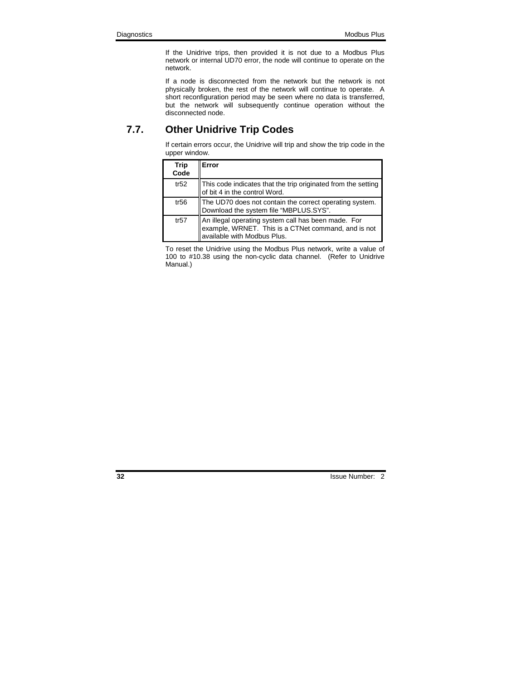If the Unidrive trips, then provided it is not due to a Modbus Plus network or internal UD70 error, the node will continue to operate on the network.

If a node is disconnected from the network but the network is not physically broken, the rest of the network will continue to operate. A short reconfiguration period may be seen where no data is transferred, but the network will subsequently continue operation without the disconnected node.

# **7.7. Other Unidrive Trip Codes**

If certain errors occur, the Unidrive will trip and show the trip code in the upper window.

| <b>Trip</b><br>Code | Error                                                                                                                                     |
|---------------------|-------------------------------------------------------------------------------------------------------------------------------------------|
| tr52                | This code indicates that the trip originated from the setting<br>of bit 4 in the control Word.                                            |
| tr56                | The UD70 does not contain the correct operating system.<br>Download the system file "MBPLUS.SYS".                                         |
| tr <sub>57</sub>    | An illegal operating system call has been made. For<br>example, WRNET. This is a CTNet command, and is not<br>available with Modbus Plus. |

To reset the Unidrive using the Modbus Plus network, write a value of 100 to #10.38 using the non-cyclic data channel. (Refer to Unidrive Manual.)